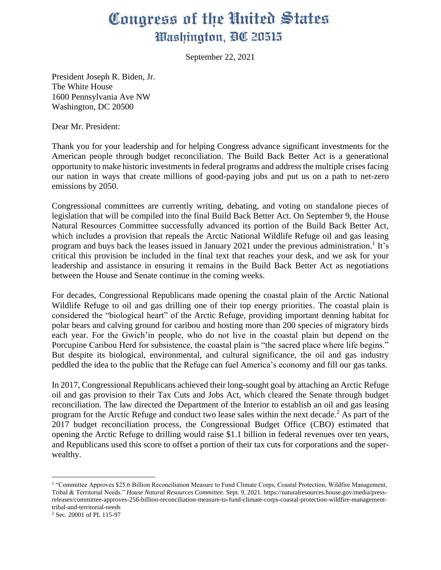## Congress of the United States Washington, DC 20515

September 22, 2021

President Joseph R. Biden, Jr. The White House 1600 Pennsylvania Ave NW Washington, DC 20500

Dear Mr. President:

Thank you for your leadership and for helping Congress advance significant investments for the American people through budget reconciliation. The Build Back Better Act is a generational opportunity to make historic investments in federal programs and address the multiple crises facing our nation in ways that create millions of good-paying jobs and put us on a path to net-zero emissions by 2050.

Congressional committees are currently writing, debating, and voting on standalone pieces of legislation that will be compiled into the final Build Back Better Act. On September 9, the House Natural Resources Committee successfully advanced its portion of the Build Back Better Act, which includes a provision that repeals the Arctic National Wildlife Refuge oil and gas leasing program and buys back the leases issued in January 2021 under the previous administration.<sup>1</sup> It's critical this provision be included in the final text that reaches your desk, and we ask for your leadership and assistance in ensuring it remains in the Build Back Better Act as negotiations between the House and Senate continue in the coming weeks.

For decades, Congressional Republicans made opening the coastal plain of the Arctic National Wildlife Refuge to oil and gas drilling one of their top energy priorities. The coastal plain is considered the "biological heart" of the Arctic Refuge, providing important denning habitat for polar bears and calving ground for caribou and hosting more than 200 species of migratory birds each year. For the Gwich'in people, who do not live in the coastal plain but depend on the Porcupine Caribou Herd for subsistence, the coastal plain is "the sacred place where life begins." But despite its biological, environmental, and cultural significance, the oil and gas industry peddled the idea to the public that the Refuge can fuel America's economy and fill our gas tanks.

In 2017, Congressional Republicans achieved their long-sought goal by attaching an Arctic Refuge oil and gas provision to their Tax Cuts and Jobs Act, which cleared the Senate through budget reconciliation. The law directed the Department of the Interior to establish an oil and gas leasing program for the Arctic Refuge and conduct two lease sales within the next decade.<sup>2</sup> As part of the 2017 budget reconciliation process, the Congressional Budget Office (CBO) estimated that opening the Arctic Refuge to drilling would raise \$1.1 billion in federal revenues over ten years, and Republicans used this score to offset a portion of their tax cuts for corporations and the superwealthy.

<sup>&</sup>lt;sup>1</sup> "Committee Approves \$25.6 Billion Reconciliation Measure to Fund Climate Corps, Coastal Protection, Wildfire Management, Tribal & Territorial Needs." *House Natural Resources Committee.* Sept. 9, 2021. https://naturalresources.house.gov/media/pressreleases/committee-approves-256-billion-reconciliation-measure-to-fund-climate-corps-coastal-protection-wildfire-managementtribal-and-territorial-needs

<sup>2</sup> Sec. 20001 of PL 115-97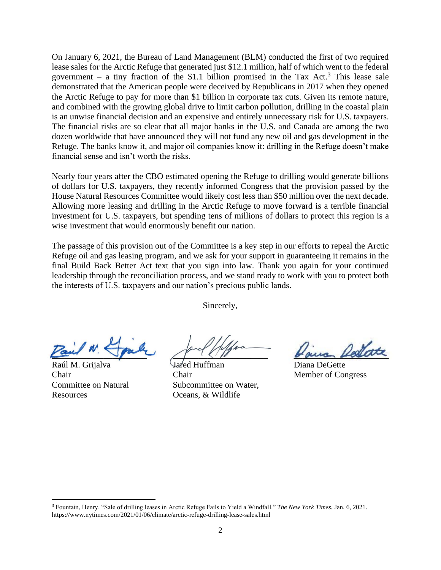On January 6, 2021, the Bureau of Land Management (BLM) conducted the first of two required lease sales for the Arctic Refuge that generated just \$12.1 million, half of which went to the federal government – a tiny fraction of the \$1.1 billion promised in the Tax Act.<sup>3</sup> This lease sale demonstrated that the American people were deceived by Republicans in 2017 when they opened the Arctic Refuge to pay for more than \$1 billion in corporate tax cuts. Given its remote nature, and combined with the growing global drive to limit carbon pollution, drilling in the coastal plain is an unwise financial decision and an expensive and entirely unnecessary risk for U.S. taxpayers. The financial risks are so clear that all major banks in the U.S. and Canada are among the two dozen worldwide that have announced they will not fund any new oil and gas development in the Refuge. The banks know it, and major oil companies know it: drilling in the Refuge doesn't make financial sense and isn't worth the risks.

Nearly four years after the CBO estimated opening the Refuge to drilling would generate billions of dollars for U.S. taxpayers, they recently informed Congress that the provision passed by the House Natural Resources Committee would likely cost less than \$50 million over the next decade. Allowing more leasing and drilling in the Arctic Refuge to move forward is a terrible financial investment for U.S. taxpayers, but spending tens of millions of dollars to protect this region is a wise investment that would enormously benefit our nation.

The passage of this provision out of the Committee is a key step in our efforts to repeal the Arctic Refuge oil and gas leasing program, and we ask for your support in guaranteeing it remains in the final Build Back Better Act text that you sign into law. Thank you again for your continued leadership through the reconciliation process, and we stand ready to work with you to protect both the interests of U.S. taxpayers and our nation's precious public lands.

Sincerely,

Raúl M. Grijalva Chair Committee on Natural Resources

<u>Paus</u> de partie de la Comme de la Comme

Jared Huffman Chair Subcommittee on Water, Oceans, & Wildlife

Diana DeGette Member of Congress

<sup>3</sup> Fountain, Henry. "Sale of drilling leases in Arctic Refuge Fails to Yield a Windfall." *The New York Times.* Jan. 6, 2021. <https://www.nytimes.com/2021/01/06/climate/arctic-refuge-drilling-lease-sales.html>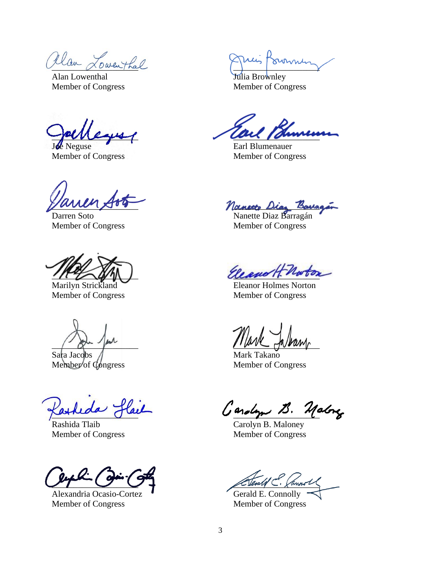allan Lowenthal Prince Pourmen

Alan Lowenthal Member of Congress

\_\_\_\_\_\_\_\_\_\_\_\_\_\_\_\_\_\_\_\_

**E** Neguse Member of Congress

 $\frac{1}{2}$ 

Darren Soto Member of Congress

 $U^{\mu}$  and

Marilyn Strickland Member of Congress

 $\int$  - given there

Sara Jacobs Member of Congress

\_\_\_\_\_\_\_\_\_\_\_\_\_\_\_\_\_\_\_\_

Rashida Tlaib Member of Congress

 $\mathcal{F}$  $\mathcal{T}$   $\cup$   $\cup$ 

Alexandria Ocasio-Cortez Member of Congress

Julia Brownley Member of Congress

au Taunun

Earl Blumenauer Member of Congress

anecto Dias Baua

Nanette Diaz Barragán Member of Congress

Ele enott Notor

Eleanor Holmes Norton Member of Congress

 $\int d\mu$  and  $\int d\mu$  and  $\int d\mu$ 

Mark Takano Member of Congress

Carolyn B. Malong

Carolyn B. Maloney Member of Congress

Sterald C. Cannot

Gerald E. Connolly Member of Congress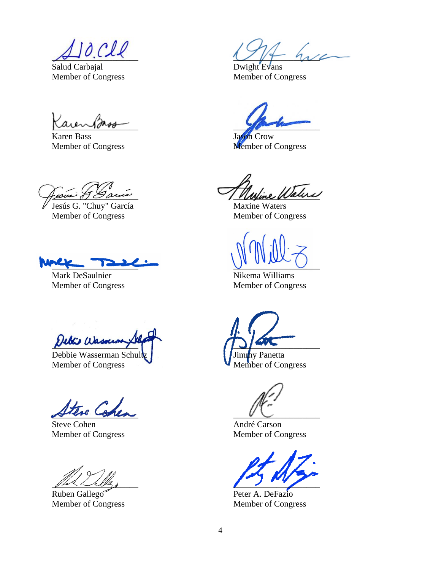$10. cll$ 

Salud Carbajal Member of Congress

 $\mu$ 

Karen Bass Member of Congress

esus & Gamia

Jesús G. "Chuy" García Member of Congress

 $\frac{1}{2}$ 

Mark DeSaulnier Member of Congress

Debiis Wasserm

Debbie Wasserman Schult Member of Congress

 $E_{rel}$  Cod.

Steve Cohen Member of Congress

 $\mathscr{W}$ 

Ruben Gallego Member of Congress

 $1$  are

Dwight Evans Member of Congress

 $\sim$ 

Jason Crow Member of Congress

ine Water

Maxine Waters Member of Congress

 $U$  on  $U$ 

Nikema Williams Member of Congress

 $\frac{1}{2}$ Jimmy Panetta

Member of Congress

 $V \cup$ 

André Carson Member of Congress

 $\overline{\phantom{a}}$ 

Peter A. DeFazio Member of Congress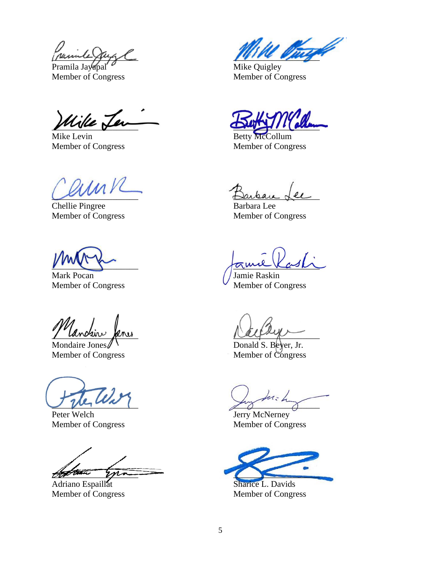puinte

Pramila Jayapal Member of Congress

Wike Jer

Mike Levin Member of Congress

aunk

Chellie Pingree Member of Congress

 $\sum_{i=1}^n a_i$ 

Mark Pocan Member of Congress

/ canceur feru

Mondaire Jones Member of Congress

 $U$  there is

Peter Welch Member of Congress

gettim you

Adriano Espaillat Member of Congress

 $mu$ 

Mike Quigley Member of Congress

 $D$ 

Betty McCollum Member of Congress

Darkan Lee

Barbara Lee Member of Congress

 $\pi$ mil Kash

Jamie Raskin Member of Congress

 $\mu$ 

Donald S. Beyer, Jr. Member of Congress

 $z^2$ 

Jerry McNerney Member of Congress

 $\overline{C}$ 

Sharice L. Davids Member of Congress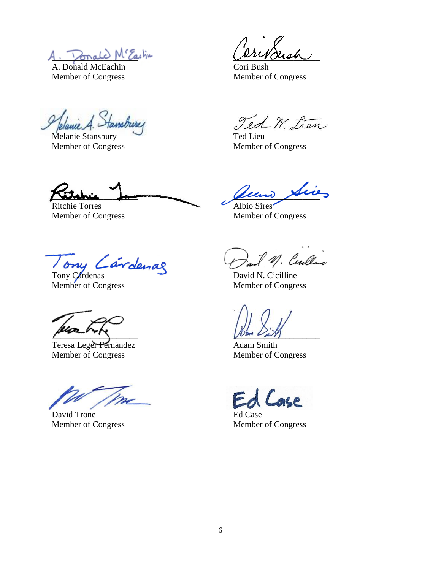A. Donald M'Eachin

A. Donald McEachin Member of Congress

Jelance A. Fansour

Melanie Stansbury Member of Congress

 $\omega$ invousn

Cori Bush Member of Congress

ed W. Lien

Ted Lieu Member of Congress

\_\_\_\_\_\_\_\_\_\_\_\_\_\_\_\_\_\_\_\_

Ritchie Torres Member of Congress

\_\_\_\_\_\_\_\_\_\_\_\_\_\_\_\_\_\_\_\_

Albio Sires Member of Congress

1 ony Lard

Tony Cardenas Member of Congress

 $\mu$ 

Teresa Leger Fernández Member of Congress

 $\overline{\phantom{a}}$ 

David Trone Member of Congress

! Ceulluc

David N. Cicilline Member of Congress

 $U$ um  $L_{\text{max}}$ 

Adam Smith Member of Congress

 $\sqrt{2\pi}$ 

Ed Case Member of Congress